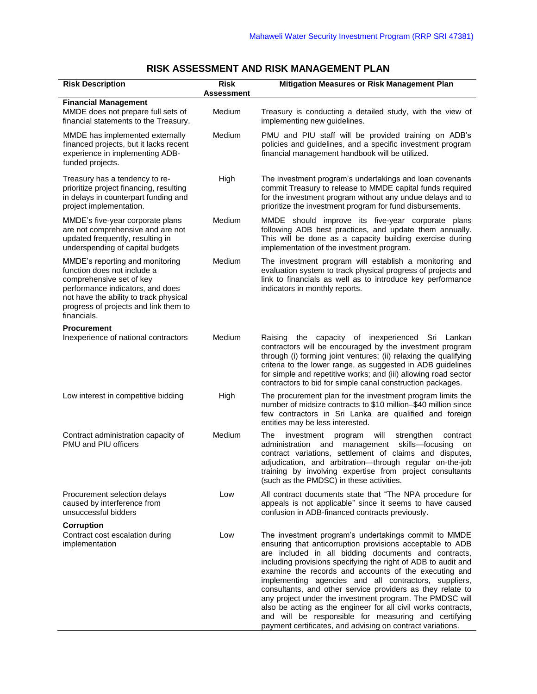## **RISK ASSESSMENT AND RISK MANAGEMENT PLAN**

| <b>Risk Description</b>                                                                                                                                                                                                          | <b>Risk</b><br>Assessment | Mitigation Measures or Risk Management Plan                                                                                                                                                                                                                                                                                                                                                                                                                                                                                                                                                                                                                                   |
|----------------------------------------------------------------------------------------------------------------------------------------------------------------------------------------------------------------------------------|---------------------------|-------------------------------------------------------------------------------------------------------------------------------------------------------------------------------------------------------------------------------------------------------------------------------------------------------------------------------------------------------------------------------------------------------------------------------------------------------------------------------------------------------------------------------------------------------------------------------------------------------------------------------------------------------------------------------|
| <b>Financial Management</b><br>MMDE does not prepare full sets of<br>financial statements to the Treasury.                                                                                                                       | Medium                    | Treasury is conducting a detailed study, with the view of<br>implementing new guidelines.                                                                                                                                                                                                                                                                                                                                                                                                                                                                                                                                                                                     |
| MMDE has implemented externally<br>financed projects, but it lacks recent<br>experience in implementing ADB-<br>funded projects.                                                                                                 | Medium                    | PMU and PIU staff will be provided training on ADB's<br>policies and guidelines, and a specific investment program<br>financial management handbook will be utilized.                                                                                                                                                                                                                                                                                                                                                                                                                                                                                                         |
| Treasury has a tendency to re-<br>prioritize project financing, resulting<br>in delays in counterpart funding and<br>project implementation.                                                                                     | High                      | The investment program's undertakings and loan covenants<br>commit Treasury to release to MMDE capital funds required<br>for the investment program without any undue delays and to<br>prioritize the investment program for fund disbursements.                                                                                                                                                                                                                                                                                                                                                                                                                              |
| MMDE's five-year corporate plans<br>are not comprehensive and are not<br>updated frequently, resulting in<br>underspending of capital budgets                                                                                    | Medium                    | MMDE should improve its five-year corporate plans<br>following ADB best practices, and update them annually.<br>This will be done as a capacity building exercise during<br>implementation of the investment program.                                                                                                                                                                                                                                                                                                                                                                                                                                                         |
| MMDE's reporting and monitoring<br>function does not include a<br>comprehensive set of key<br>performance indicators, and does<br>not have the ability to track physical<br>progress of projects and link them to<br>financials. | Medium                    | The investment program will establish a monitoring and<br>evaluation system to track physical progress of projects and<br>link to financials as well as to introduce key performance<br>indicators in monthly reports.                                                                                                                                                                                                                                                                                                                                                                                                                                                        |
| <b>Procurement</b><br>Inexperience of national contractors                                                                                                                                                                       | Medium                    | the capacity of inexperienced Sri Lankan<br>Raising<br>contractors will be encouraged by the investment program<br>through (i) forming joint ventures; (ii) relaxing the qualifying<br>criteria to the lower range, as suggested in ADB guidelines<br>for simple and repetitive works; and (iii) allowing road sector<br>contractors to bid for simple canal construction packages.                                                                                                                                                                                                                                                                                           |
| Low interest in competitive bidding                                                                                                                                                                                              | High                      | The procurement plan for the investment program limits the<br>number of midsize contracts to \$10 million-\$40 million since<br>few contractors in Sri Lanka are qualified and foreign<br>entities may be less interested.                                                                                                                                                                                                                                                                                                                                                                                                                                                    |
| Contract administration capacity of<br>PMU and PIU officers                                                                                                                                                                      | Medium                    | The<br>investment<br>will<br>strengthen<br>contract<br>program<br>administration<br>management<br>skills-focusing<br>and<br>on<br>contract variations, settlement of claims and disputes,<br>adjudication, and arbitration-through regular on-the-job<br>training by involving expertise from project consultants<br>(such as the PMDSC) in these activities.                                                                                                                                                                                                                                                                                                                 |
| Procurement selection delays<br>caused by interference from<br>unsuccessful bidders                                                                                                                                              | Low                       | All contract documents state that "The NPA procedure for<br>appeals is not applicable" since it seems to have caused<br>confusion in ADB-financed contracts previously.                                                                                                                                                                                                                                                                                                                                                                                                                                                                                                       |
| <b>Corruption</b><br>Contract cost escalation during<br>implementation                                                                                                                                                           | Low                       | The investment program's undertakings commit to MMDE<br>ensuring that anticorruption provisions acceptable to ADB<br>are included in all bidding documents and contracts,<br>including provisions specifying the right of ADB to audit and<br>examine the records and accounts of the executing and<br>implementing agencies and all contractors, suppliers,<br>consultants, and other service providers as they relate to<br>any project under the investment program. The PMDSC will<br>also be acting as the engineer for all civil works contracts,<br>and will be responsible for measuring and certifying<br>payment certificates, and advising on contract variations. |